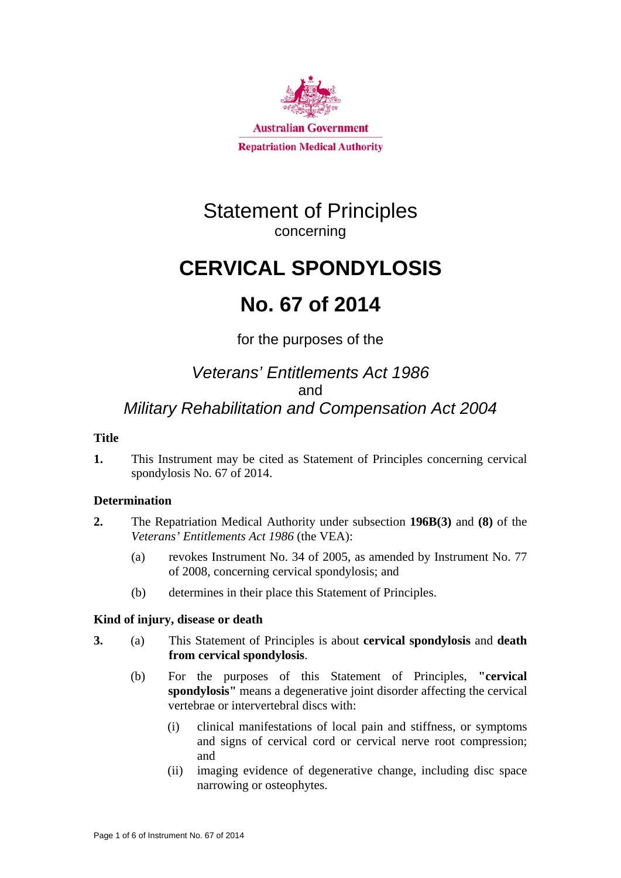

# Statement of Principles concerning

# **CERVICAL SPONDYLOSIS**

# **No. 67 of 2014**

for the purposes of the

# *Veterans' Entitlements Act 1986*  and *Military Rehabilitation and Compensation Act 2004*

## **Title**

**1.** This Instrument may be cited as Statement of Principles concerning cervical spondylosis No. 67 of 2014.

## **Determination**

- **2.** The Repatriation Medical Authority under subsection **196B(3)** and **(8)** of the *Veterans' Entitlements Act 1986* (the VEA):
	- (a) revokes Instrument No. 34 of 2005, as amended by Instrument No. 77 of 2008, concerning cervical spondylosis; and
	- (b) determines in their place this Statement of Principles.

### **Kind of injury, disease or death**

- **3.** (a) This Statement of Principles is about **cervical spondylosis** and **death from cervical spondylosis**.
	- (b) For the purposes of this Statement of Principles, **"cervical spondylosis"** means a degenerative joint disorder affecting the cervical vertebrae or intervertebral discs with:
		- (i) clinical manifestations of local pain and stiffness, or symptoms and signs of cervical cord or cervical nerve root compression; and
		- (ii) imaging evidence of degenerative change, including disc space narrowing or osteophytes.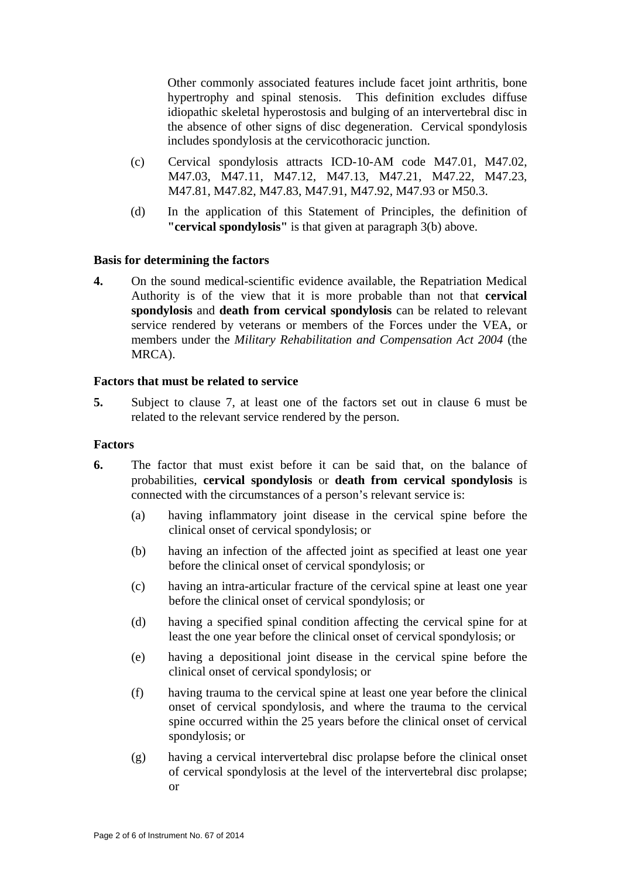Other commonly associated features include facet joint arthritis, bone hypertrophy and spinal stenosis. This definition excludes diffuse idiopathic skeletal hyperostosis and bulging of an intervertebral disc in the absence of other signs of disc degeneration. Cervical spondylosis includes spondylosis at the cervicothoracic junction.

- (c) Cervical spondylosis attracts ICD-10-AM code M47.01, M47.02, M47.03, M47.11, M47.12, M47.13, M47.21, M47.22, M47.23, M47.81, M47.82, M47.83, M47.91, M47.92, M47.93 or M50.3.
- (d) In the application of this Statement of Principles, the definition of **"cervical spondylosis"** is that given at paragraph 3(b) above.

#### **Basis for determining the factors**

**4.** On the sound medical-scientific evidence available, the Repatriation Medical Authority is of the view that it is more probable than not that **cervical spondylosis** and **death from cervical spondylosis** can be related to relevant service rendered by veterans or members of the Forces under the VEA, or members under the *Military Rehabilitation and Compensation Act 2004* (the MRCA).

#### **Factors that must be related to service**

**5.** Subject to clause 7, at least one of the factors set out in clause 6 must be related to the relevant service rendered by the person.

#### **Factors**

- **6.** The factor that must exist before it can be said that, on the balance of probabilities, **cervical spondylosis** or **death from cervical spondylosis** is connected with the circumstances of a person's relevant service is:
	- (a) having inflammatory joint disease in the cervical spine before the clinical onset of cervical spondylosis; or
	- (b) having an infection of the affected joint as specified at least one year before the clinical onset of cervical spondylosis; or
	- (c) having an intra-articular fracture of the cervical spine at least one year before the clinical onset of cervical spondylosis; or
	- (d) having a specified spinal condition affecting the cervical spine for at least the one year before the clinical onset of cervical spondylosis; or
	- (e) having a depositional joint disease in the cervical spine before the clinical onset of cervical spondylosis; or
	- (f) having trauma to the cervical spine at least one year before the clinical onset of cervical spondylosis, and where the trauma to the cervical spine occurred within the 25 years before the clinical onset of cervical spondylosis; or
	- (g) having a cervical intervertebral disc prolapse before the clinical onset of cervical spondylosis at the level of the intervertebral disc prolapse; or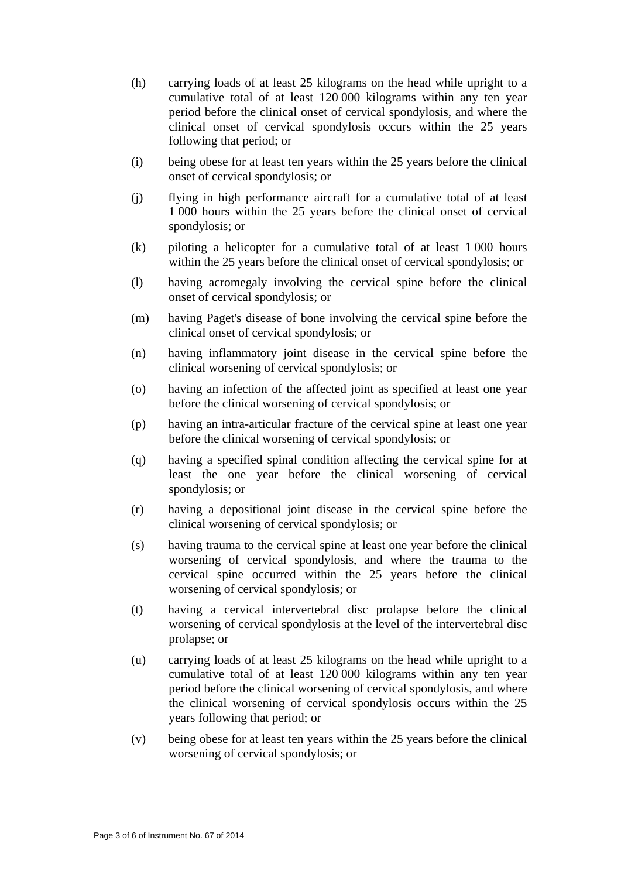- (h) carrying loads of at least 25 kilograms on the head while upright to a cumulative total of at least 120 000 kilograms within any ten year period before the clinical onset of cervical spondylosis, and where the clinical onset of cervical spondylosis occurs within the 25 years following that period; or
- (i) being obese for at least ten years within the 25 years before the clinical onset of cervical spondylosis; or
- (j) flying in high performance aircraft for a cumulative total of at least 1 000 hours within the 25 years before the clinical onset of cervical spondylosis; or
- (k) piloting a helicopter for a cumulative total of at least 1 000 hours within the 25 years before the clinical onset of cervical spondylosis; or
- (l) having acromegaly involving the cervical spine before the clinical onset of cervical spondylosis; or
- (m) having Paget's disease of bone involving the cervical spine before the clinical onset of cervical spondylosis; or
- (n) having inflammatory joint disease in the cervical spine before the clinical worsening of cervical spondylosis; or
- (o) having an infection of the affected joint as specified at least one year before the clinical worsening of cervical spondylosis; or
- (p) having an intra-articular fracture of the cervical spine at least one year before the clinical worsening of cervical spondylosis; or
- (q) having a specified spinal condition affecting the cervical spine for at least the one year before the clinical worsening of cervical spondylosis; or
- (r) having a depositional joint disease in the cervical spine before the clinical worsening of cervical spondylosis; or
- (s) having trauma to the cervical spine at least one year before the clinical worsening of cervical spondylosis, and where the trauma to the cervical spine occurred within the 25 years before the clinical worsening of cervical spondylosis; or
- (t) having a cervical intervertebral disc prolapse before the clinical worsening of cervical spondylosis at the level of the intervertebral disc prolapse; or
- (u) carrying loads of at least 25 kilograms on the head while upright to a cumulative total of at least 120 000 kilograms within any ten year period before the clinical worsening of cervical spondylosis, and where the clinical worsening of cervical spondylosis occurs within the 25 years following that period; or
- (v) being obese for at least ten years within the 25 years before the clinical worsening of cervical spondylosis; or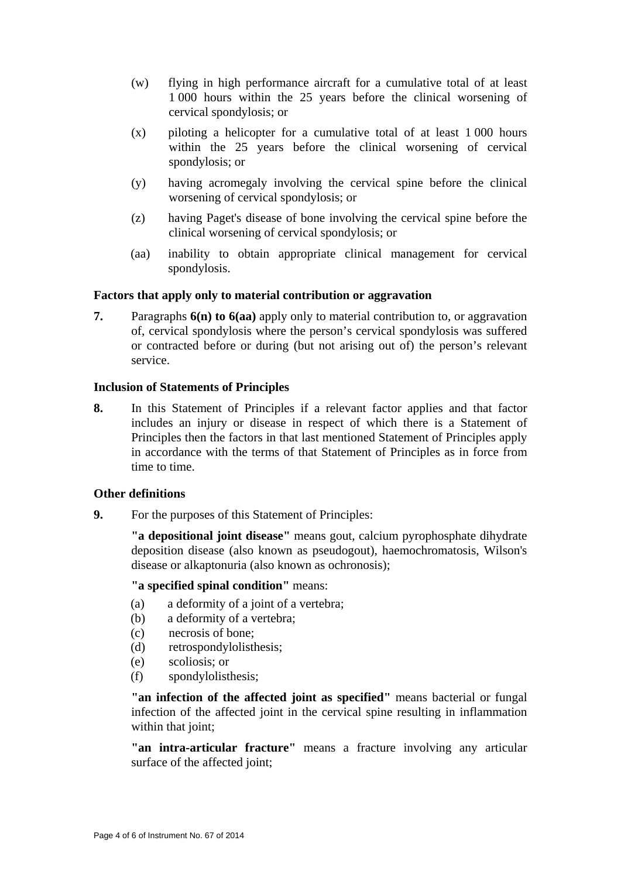- (w) flying in high performance aircraft for a cumulative total of at least 1 000 hours within the 25 years before the clinical worsening of cervical spondylosis; or
- $(x)$  piloting a helicopter for a cumulative total of at least 1 000 hours within the 25 years before the clinical worsening of cervical spondylosis; or
- (y) having acromegaly involving the cervical spine before the clinical worsening of cervical spondylosis; or
- (z) having Paget's disease of bone involving the cervical spine before the clinical worsening of cervical spondylosis; or
- (aa) inability to obtain appropriate clinical management for cervical spondylosis.

#### **Factors that apply only to material contribution or aggravation**

**7.** Paragraphs **6(n) to 6(aa)** apply only to material contribution to, or aggravation of, cervical spondylosis where the person's cervical spondylosis was suffered or contracted before or during (but not arising out of) the person's relevant service.

#### **Inclusion of Statements of Principles**

**8.** In this Statement of Principles if a relevant factor applies and that factor includes an injury or disease in respect of which there is a Statement of Principles then the factors in that last mentioned Statement of Principles apply in accordance with the terms of that Statement of Principles as in force from time to time.

#### **Other definitions**

**9.** For the purposes of this Statement of Principles:

**"a depositional joint disease"** means gout, calcium pyrophosphate dihydrate deposition disease (also known as pseudogout), haemochromatosis, Wilson's disease or alkaptonuria (also known as ochronosis);

**"a specified spinal condition"** means:

- (a) a deformity of a joint of a vertebra;
- (b) a deformity of a vertebra;
- (c) necrosis of bone;
- (d) retrospondylolisthesis;
- (e) scoliosis; or
- (f) spondylolisthesis;

**"an infection of the affected joint as specified"** means bacterial or fungal infection of the affected joint in the cervical spine resulting in inflammation within that joint;

**"an intra-articular fracture"** means a fracture involving any articular surface of the affected joint;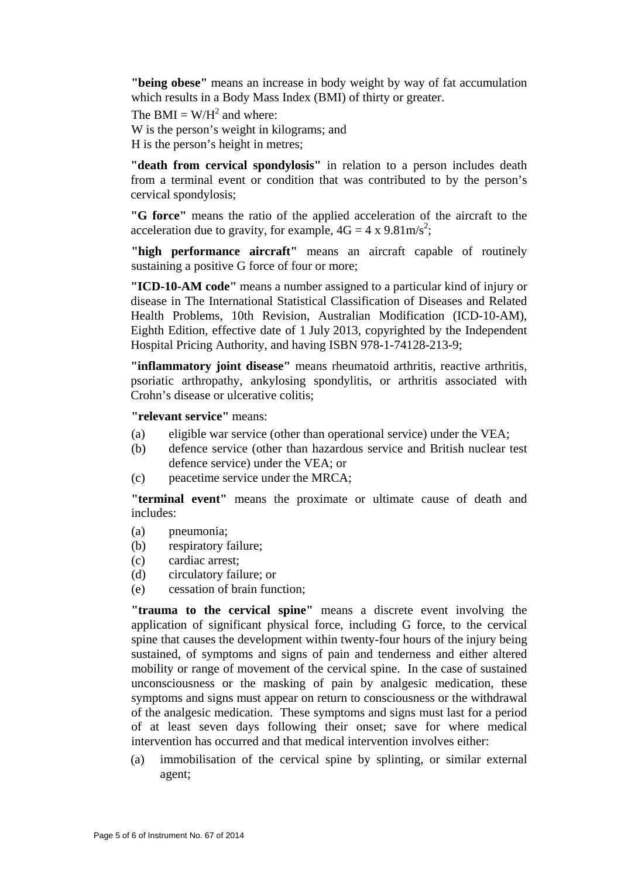**"being obese"** means an increase in body weight by way of fat accumulation which results in a Body Mass Index (BMI) of thirty or greater.

The BMI =  $W/H^2$  and where:

W is the person's weight in kilograms; and

H is the person's height in metres;

**"death from cervical spondylosis"** in relation to a person includes death from a terminal event or condition that was contributed to by the person's cervical spondylosis;

**"G force"** means the ratio of the applied acceleration of the aircraft to the acceleration due to gravity, for example,  $4G = 4 \times 9.81 \text{m/s}^2$ ;

**"high performance aircraft"** means an aircraft capable of routinely sustaining a positive G force of four or more;

**"ICD-10-AM code"** means a number assigned to a particular kind of injury or disease in The International Statistical Classification of Diseases and Related Health Problems, 10th Revision, Australian Modification (ICD-10-AM), Eighth Edition, effective date of 1 July 2013, copyrighted by the Independent Hospital Pricing Authority, and having ISBN 978-1-74128-213-9;

**"inflammatory joint disease"** means rheumatoid arthritis, reactive arthritis, psoriatic arthropathy, ankylosing spondylitis, or arthritis associated with Crohn's disease or ulcerative colitis;

**"relevant service"** means:

- (a) eligible war service (other than operational service) under the VEA;
- (b) defence service (other than hazardous service and British nuclear test defence service) under the VEA; or
- (c) peacetime service under the MRCA;

**"terminal event"** means the proximate or ultimate cause of death and includes:

- (a) pneumonia;
- (b) respiratory failure;
- (c) cardiac arrest;
- (d) circulatory failure; or
- (e) cessation of brain function;

**"trauma to the cervical spine"** means a discrete event involving the application of significant physical force, including G force, to the cervical spine that causes the development within twenty-four hours of the injury being sustained, of symptoms and signs of pain and tenderness and either altered mobility or range of movement of the cervical spine. In the case of sustained unconsciousness or the masking of pain by analgesic medication, these symptoms and signs must appear on return to consciousness or the withdrawal of the analgesic medication. These symptoms and signs must last for a period of at least seven days following their onset; save for where medical intervention has occurred and that medical intervention involves either:

(a) immobilisation of the cervical spine by splinting, or similar external agent;